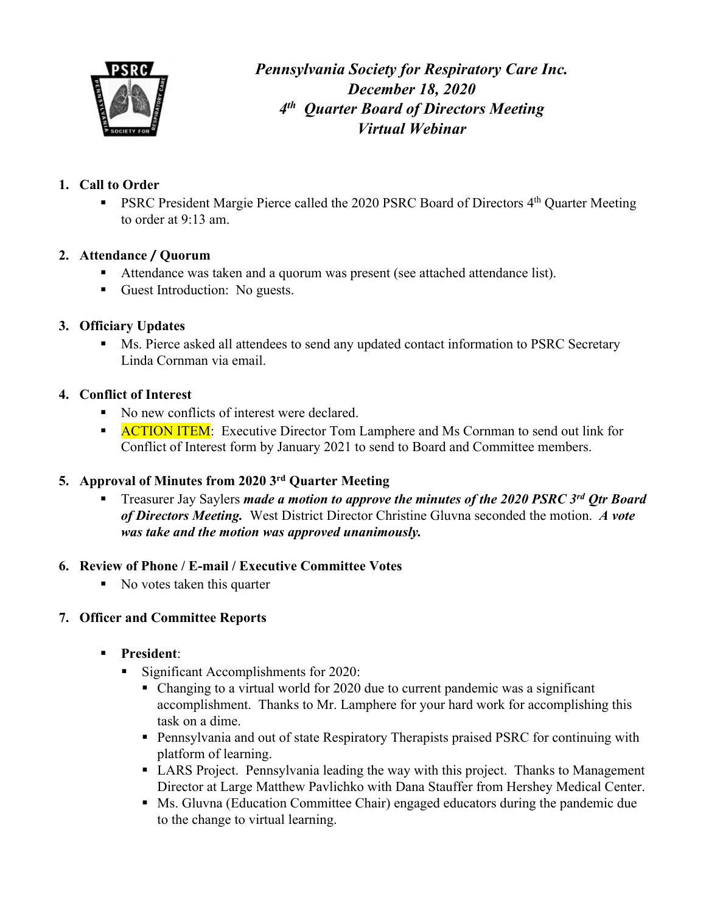

*Pennsylvania Society for Respiratory Care Inc. December 18, 2020 4th Quarter Board of Directors Meeting Virtual Webinar* 

# **1. Call to Order**

■ PSRC President Margie Pierce called the 2020 PSRC Board of Directors 4<sup>th</sup> Quarter Meeting to order at 9:13 am.

# **2. Attendance** / **Quorum**

- Attendance was taken and a quorum was present (see attached attendance list).
- Guest Introduction: No guests.

## **3. Officiary Updates**

■ Ms. Pierce asked all attendees to send any updated contact information to PSRC Secretary Linda Cornman via email.

## **4. Conflict of Interest**

- No new conflicts of interest were declared.
- **ACTION ITEM:** Executive Director Tom Lamphere and Ms Cornman to send out link for Conflict of Interest form by January 2021 to send to Board and Committee members.

# **5. Approval of Minutes from 2020 3rd Quarter Meeting**

§ Treasurer Jay Saylers *made a motion to approve the minutes of the 2020 PSRC 3rd Qtr Board of Directors Meeting.* West District Director Christine Gluvna seconded the motion. *A vote was take and the motion was approved unanimously.*

#### **6. Review of Phone / E-mail / Executive Committee Votes**

■ No votes taken this quarter

# **7. Officer and Committee Reports**

- § **President**:
	- § Significant Accomplishments for 2020:
		- Changing to a virtual world for 2020 due to current pandemic was a significant accomplishment. Thanks to Mr. Lamphere for your hard work for accomplishing this task on a dime.
		- Pennsylvania and out of state Respiratory Therapists praised PSRC for continuing with platform of learning.
		- LARS Project. Pennsylvania leading the way with this project. Thanks to Management Director at Large Matthew Pavlichko with Dana Stauffer from Hershey Medical Center.
		- Ms. Gluvna (Education Committee Chair) engaged educators during the pandemic due to the change to virtual learning.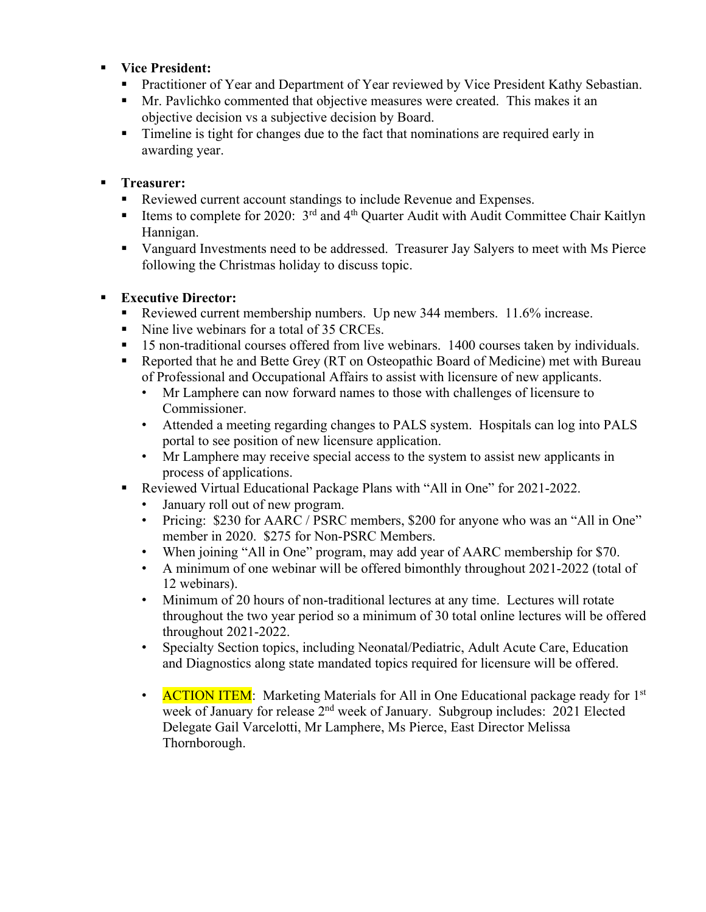#### § **Vice President:**

- Practitioner of Year and Department of Year reviewed by Vice President Kathy Sebastian.
- § Mr. Pavlichko commented that objective measures were created. This makes it an objective decision vs a subjective decision by Board.
- Timeline is tight for changes due to the fact that nominations are required early in awarding year.

#### § **Treasurer:**

- Reviewed current account standings to include Revenue and Expenses.
- **Exampled 1** Items to complete for 2020:  $3^{rd}$  and  $4^{th}$  Quarter Audit with Audit Committee Chair Kaitlyn Hannigan.
- § Vanguard Investments need to be addressed. Treasurer Jay Salyers to meet with Ms Pierce following the Christmas holiday to discuss topic.

## § **Executive Director:**

- Reviewed current membership numbers. Up new 344 members. 11.6% increase.
- Nine live webinars for a total of 35 CRCEs.
- § 15 non-traditional courses offered from live webinars. 1400 courses taken by individuals.
- Reported that he and Bette Grey (RT on Osteopathic Board of Medicine) met with Bureau of Professional and Occupational Affairs to assist with licensure of new applicants.
	- Mr Lamphere can now forward names to those with challenges of licensure to Commissioner.
	- Attended a meeting regarding changes to PALS system. Hospitals can log into PALS portal to see position of new licensure application.
	- Mr Lamphere may receive special access to the system to assist new applicants in process of applications.
- § Reviewed Virtual Educational Package Plans with "All in One" for 2021-2022.
	- January roll out of new program.
	- Pricing: \$230 for AARC / PSRC members, \$200 for anyone who was an "All in One" member in 2020. \$275 for Non-PSRC Members.
	- When joining "All in One" program, may add year of AARC membership for \$70.
	- A minimum of one webinar will be offered bimonthly throughout 2021-2022 (total of 12 webinars).
	- Minimum of 20 hours of non-traditional lectures at any time. Lectures will rotate throughout the two year period so a minimum of 30 total online lectures will be offered throughout 2021-2022.
	- Specialty Section topics, including Neonatal/Pediatric, Adult Acute Care, Education and Diagnostics along state mandated topics required for licensure will be offered.
	- ACTION ITEM: Marketing Materials for All in One Educational package ready for 1<sup>st</sup> week of January for release 2<sup>nd</sup> week of January. Subgroup includes: 2021 Elected Delegate Gail Varcelotti, Mr Lamphere, Ms Pierce, East Director Melissa Thornborough.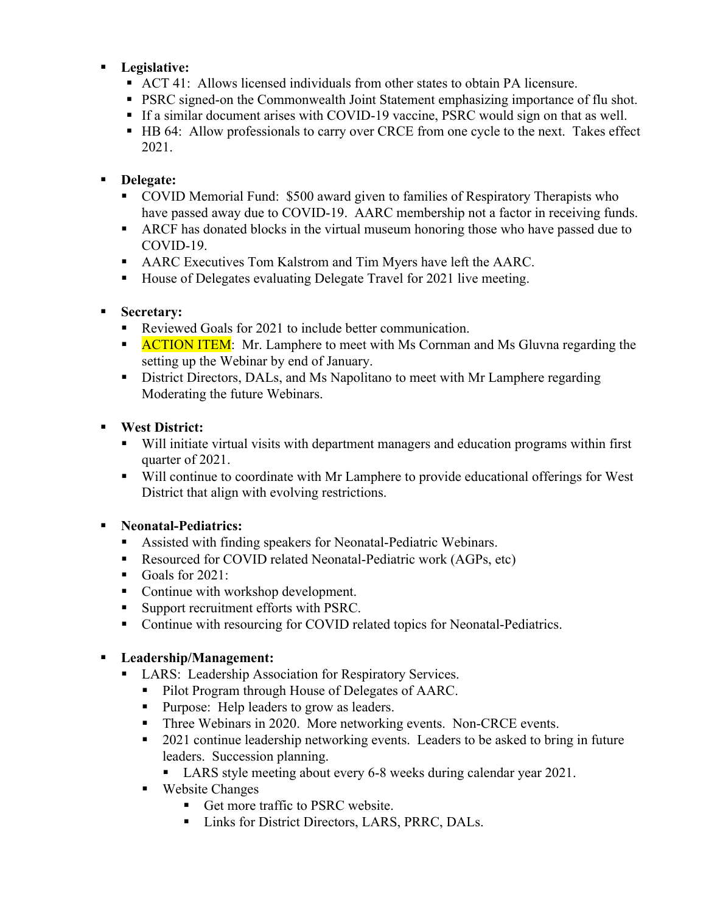#### § **Legislative:**

- § ACT 41: Allows licensed individuals from other states to obtain PA licensure.
- PSRC signed-on the Commonwealth Joint Statement emphasizing importance of flu shot.
- If a similar document arises with COVID-19 vaccine, PSRC would sign on that as well.
- HB 64: Allow professionals to carry over CRCE from one cycle to the next. Takes effect 2021.

## § **Delegate:**

- COVID Memorial Fund: \$500 award given to families of Respiratory Therapists who have passed away due to COVID-19. AARC membership not a factor in receiving funds.
- ARCF has donated blocks in the virtual museum honoring those who have passed due to COVID-19.
- AARC Executives Tom Kalstrom and Tim Myers have left the AARC.
- House of Delegates evaluating Delegate Travel for 2021 live meeting.

## § **Secretary:**

- Reviewed Goals for 2021 to include better communication.
- **ACTION ITEM:** Mr. Lamphere to meet with Ms Cornman and Ms Gluvna regarding the setting up the Webinar by end of January.
- **•** District Directors, DALs, and Ms Napolitano to meet with Mr Lamphere regarding Moderating the future Webinars.

## § **West District:**

- § Will initiate virtual visits with department managers and education programs within first quarter of 2021.
- Will continue to coordinate with Mr Lamphere to provide educational offerings for West District that align with evolving restrictions.

# § **Neonatal-Pediatrics:**

- Assisted with finding speakers for Neonatal-Pediatric Webinars.
- Resourced for COVID related Neonatal-Pediatric work (AGPs, etc)
- Goals for 2021:
- Continue with workshop development.
- § Support recruitment efforts with PSRC.
- Continue with resourcing for COVID related topics for Neonatal-Pediatrics.

#### § **Leadership/Management:**

- LARS: Leadership Association for Respiratory Services.
	- Pilot Program through House of Delegates of AARC.
	- Purpose: Help leaders to grow as leaders.
	- Three Webinars in 2020. More networking events. Non-CRCE events.
	- 2021 continue leadership networking events. Leaders to be asked to bring in future leaders. Succession planning.
		- LARS style meeting about every 6-8 weeks during calendar year 2021.
	- Website Changes
		- Get more traffic to PSRC website.
		- Links for District Directors, LARS, PRRC, DALs.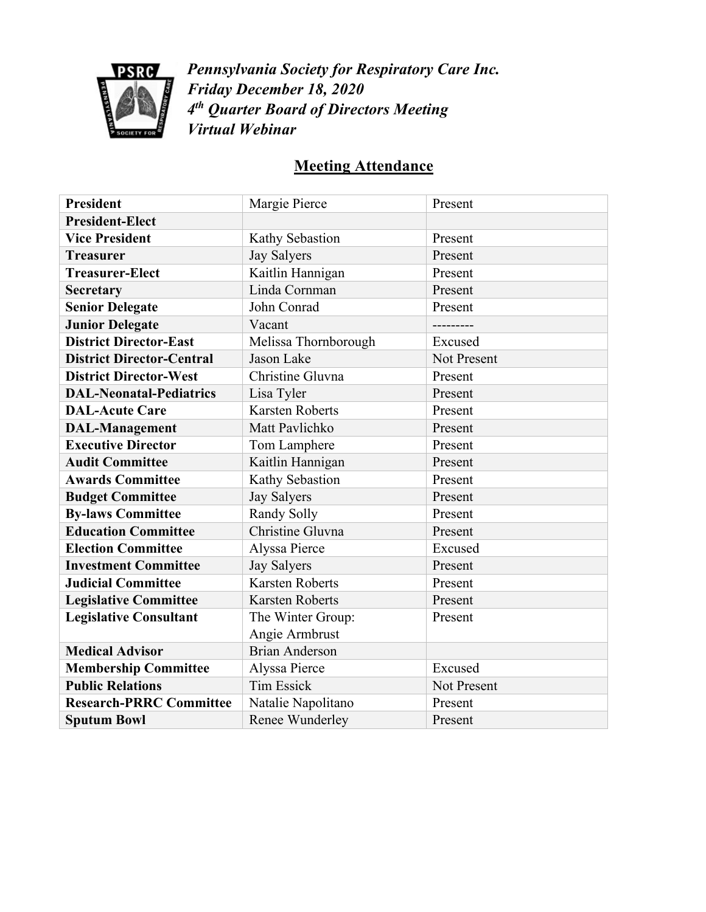

*Pennsylvania Society for Respiratory Care Inc. Friday December 18, 2020 4th Quarter Board of Directors Meeting Virtual Webinar*

# **Meeting Attendance**

| <b>President</b>                 | Margie Pierce          | Present            |
|----------------------------------|------------------------|--------------------|
| <b>President-Elect</b>           |                        |                    |
| <b>Vice President</b>            | Kathy Sebastion        | Present            |
| <b>Treasurer</b>                 | <b>Jay Salyers</b>     | Present            |
| <b>Treasurer-Elect</b>           | Kaitlin Hannigan       | Present            |
| <b>Secretary</b>                 | Linda Cornman          | Present            |
| <b>Senior Delegate</b>           | John Conrad            | Present            |
| <b>Junior Delegate</b>           | Vacant<br>---------    |                    |
| <b>District Director-East</b>    | Melissa Thornborough   | Excused            |
| <b>District Director-Central</b> | Jason Lake             | <b>Not Present</b> |
| <b>District Director-West</b>    | Christine Gluvna       | Present            |
| <b>DAL-Neonatal-Pediatrics</b>   | Lisa Tyler<br>Present  |                    |
| <b>DAL-Acute Care</b>            | <b>Karsten Roberts</b> | Present            |
| <b>DAL-Management</b>            | Matt Pavlichko         | Present            |
| <b>Executive Director</b>        | Tom Lamphere           | Present            |
| <b>Audit Committee</b>           | Kaitlin Hannigan       | Present            |
| <b>Awards Committee</b>          | Kathy Sebastion        | Present            |
| <b>Budget Committee</b>          | <b>Jay Salyers</b>     | Present            |
| <b>By-laws Committee</b>         | Randy Solly            | Present            |
| <b>Education Committee</b>       | Christine Gluvna       | Present            |
| <b>Election Committee</b>        | Alyssa Pierce          | Excused            |
| <b>Investment Committee</b>      | <b>Jay Salyers</b>     | Present            |
| <b>Judicial Committee</b>        | <b>Karsten Roberts</b> | Present            |
| <b>Legislative Committee</b>     | <b>Karsten Roberts</b> | Present            |
| <b>Legislative Consultant</b>    | The Winter Group:      | Present            |
|                                  | Angie Armbrust         |                    |
| <b>Medical Advisor</b>           | <b>Brian Anderson</b>  |                    |
| <b>Membership Committee</b>      | Alyssa Pierce          | Excused            |
| <b>Public Relations</b>          | <b>Tim Essick</b>      | Not Present        |
| <b>Research-PRRC Committee</b>   | Natalie Napolitano     | Present            |
| <b>Sputum Bowl</b>               | Renee Wunderley        | Present            |